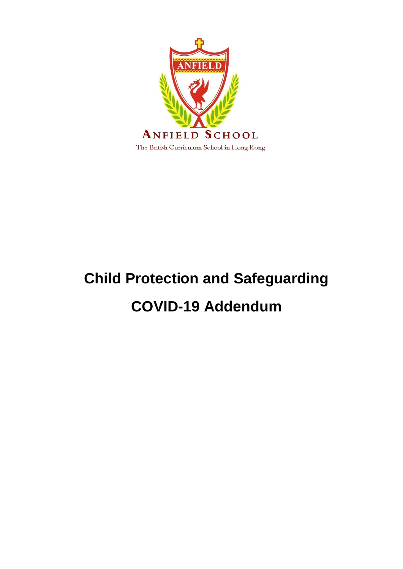

# **Child Protection and Safeguarding COVID-19 Addendum**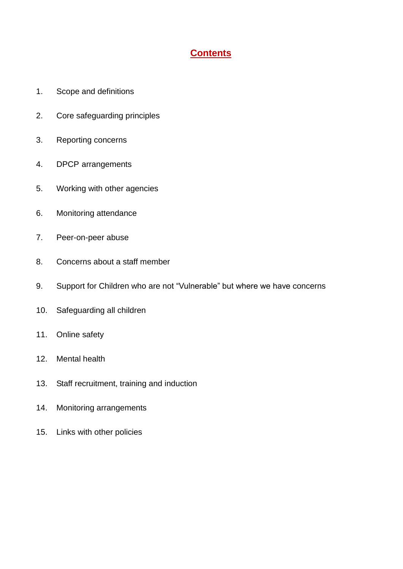## **Contents**

- 1. Scope and definitions
- 2. Core safeguarding principles
- 3. Reporting concerns
- 4. DPCP arrangements
- 5. Working with other agencies
- 6. Monitoring attendance
- 7. Peer-on-peer abuse
- 8. Concerns about a staff member
- 9. Support for Children who are not "Vulnerable" but where we have concerns
- 10. Safeguarding all children
- 11. Online safety
- 12. Mental health
- 13. Staff recruitment, training and induction
- 14. Monitoring arrangements
- 15. Links with other policies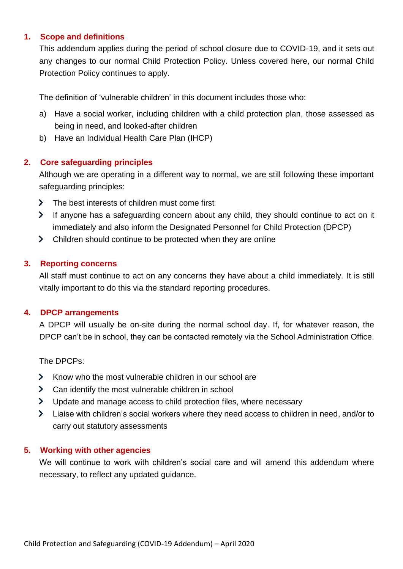## **1. Scope and definitions**

This addendum applies during the period of school closure due to COVID-19, and it sets out any changes to our normal Child Protection Policy. Unless covered here, our normal Child Protection Policy continues to apply.

The definition of "vulnerable children" in this document includes those who:

- a) Have a social worker, including children with a child protection plan, those assessed as being in need, and looked-after children
- b) Have an Individual Health Care Plan (IHCP)

## **2. Core safeguarding principles**

Although we are operating in a different way to normal, we are still following these important safeguarding principles:

- > The best interests of children must come first
- If anyone has a safeguarding concern about any child, they should continue to act on it immediately and also inform the Designated Personnel for Child Protection (DPCP)
- Children should continue to be protected when they are online

## **3. Reporting concerns**

All staff must continue to act on any concerns they have about a child immediately. It is still vitally important to do this via the standard reporting procedures.

## **4. DPCP arrangements**

A DPCP will usually be on-site during the normal school day. If, for whatever reason, the DPCP can't be in school, they can be contacted remotely via the School Administration Office.

The DPCPs:

- > Know who the most vulnerable children in our school are
- S Can identify the most vulnerable children in school
- b Update and manage access to child protection files, where necessary
- Liaise with children"s social workers where they need access to children in need, and/or to  $\sum$ carry out statutory assessments

## **5. Working with other agencies**

We will continue to work with children's social care and will amend this addendum where necessary, to reflect any updated guidance.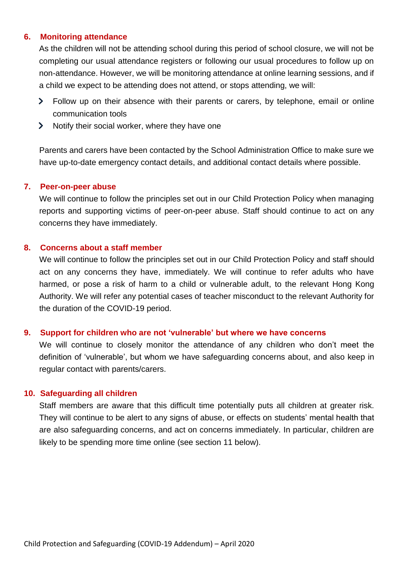#### **6. Monitoring attendance**

As the children will not be attending school during this period of school closure, we will not be completing our usual attendance registers or following our usual procedures to follow up on non-attendance. However, we will be monitoring attendance at online learning sessions, and if a child we expect to be attending does not attend, or stops attending, we will:

- Follow up on their absence with their parents or carers, by telephone, email or online communication tools
- $\blacktriangleright$  Notify their social worker, where they have one

Parents and carers have been contacted by the School Administration Office to make sure we have up-to-date emergency contact details, and additional contact details where possible.

#### **7. Peer-on-peer abuse**

We will continue to follow the principles set out in our Child Protection Policy when managing reports and supporting victims of peer-on-peer abuse. Staff should continue to act on any concerns they have immediately.

#### **8. Concerns about a staff member**

We will continue to follow the principles set out in our Child Protection Policy and staff should act on any concerns they have, immediately. We will continue to refer adults who have harmed, or pose a risk of harm to a child or vulnerable adult, to the relevant Hong Kong Authority. We will refer any potential cases of teacher misconduct to the relevant Authority for the duration of the COVID-19 period.

#### **9. Support for children who are not 'vulnerable' but where we have concerns**

We will continue to closely monitor the attendance of any children who don't meet the definition of "vulnerable", but whom we have safeguarding concerns about, and also keep in regular contact with parents/carers.

#### **10. Safeguarding all children**

Staff members are aware that this difficult time potentially puts all children at greater risk. They will continue to be alert to any signs of abuse, or effects on students" mental health that are also safeguarding concerns, and act on concerns immediately. In particular, children are likely to be spending more time online (see section 11 below).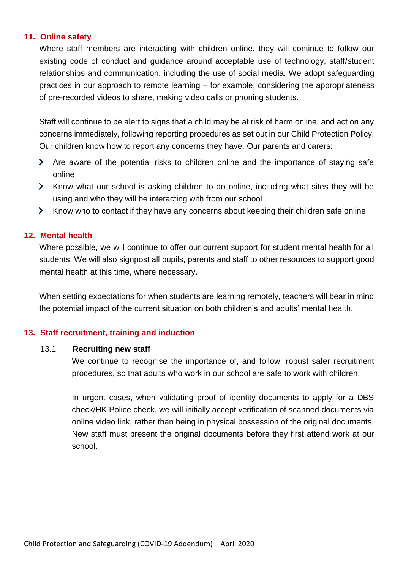## **11. Online safety**

Where staff members are interacting with children online, they will continue to follow our existing code of conduct and guidance around acceptable use of technology, staff/student relationships and communication, including the use of social media. We adopt safeguarding practices in our approach to remote learning – for example, considering the appropriateness of pre-recorded videos to share, making video calls or phoning students.

Staff will continue to be alert to signs that a child may be at risk of harm online, and act on any concerns immediately, following reporting procedures as set out in our Child Protection Policy. Our children know how to report any concerns they have. Our parents and carers:

- Are aware of the potential risks to children online and the importance of staying safe online
- Know what our school is asking children to do online, including what sites they will be using and who they will be interacting with from our school
- X Know who to contact if they have any concerns about keeping their children safe online

## **12. Mental health**

Where possible, we will continue to offer our current support for student mental health for all students. We will also signpost all pupils, parents and staff to other resources to support good mental health at this time, where necessary.

When setting expectations for when students are learning remotely, teachers will bear in mind the potential impact of the current situation on both children"s and adults" mental health.

#### **13. Staff recruitment, training and induction**

#### 13.1 **Recruiting new staff**

We continue to recognise the importance of, and follow, robust safer recruitment procedures, so that adults who work in our school are safe to work with children.

In urgent cases, when validating proof of identity documents to apply for a DBS check/HK Police check, we will initially accept verification of scanned documents via online video link, rather than being in physical possession of the original documents. New staff must present the original documents before they first attend work at our school.